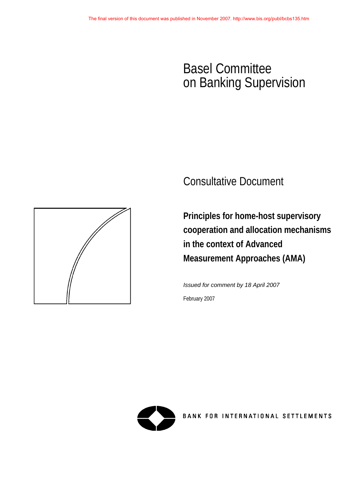# Basel Committee on Banking Supervision

## Consultative Document

**Principles for home-host supervisory cooperation and allocation mechanisms in the context of Advanced Measurement Approaches (AMA)** 

*Issued for comment by 18 April 2007*  February 2007



**BANK FOR INTERNATIONAL SETTLEMENTS** 

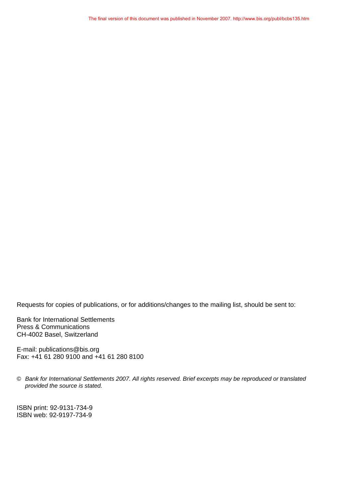Requests for copies of publications, or for additions/changes to the mailing list, should be sent to:

Bank for International Settlements Press & Communications CH-4002 Basel, Switzerland

E-mail: [publications@bis.org](mailto:publications@bis.org)  Fax: +41 61 280 9100 and +41 61 280 8100

© *Bank for International Settlements 2007. All rights reserved. Brief excerpts may be reproduced or translated provided the source is stated.* 

ISBN print: 92-9131-734-9 ISBN web: 92-9197-734-9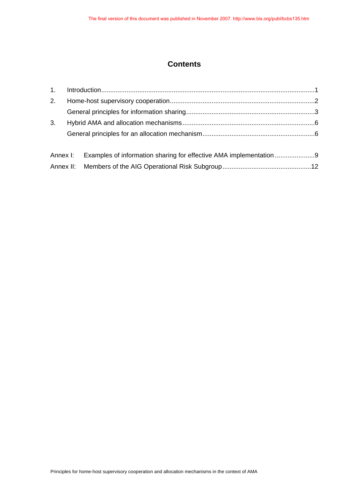#### **Contents**

| 2. |  |                                                                           |  |  |
|----|--|---------------------------------------------------------------------------|--|--|
|    |  |                                                                           |  |  |
| 3. |  |                                                                           |  |  |
|    |  |                                                                           |  |  |
|    |  | Annex I: Examples of information sharing for effective AMA implementation |  |  |
|    |  |                                                                           |  |  |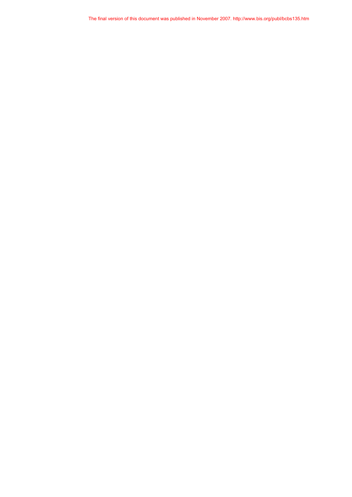The final version of this document was published in November 2007. http://www.bis.org/publ/bcbs135.htm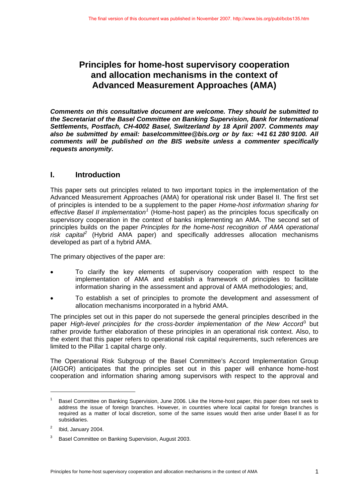## <span id="page-4-0"></span>**Principles for home-host supervisory cooperation and allocation mechanisms in the context of Advanced Measurement Approaches (AMA)**

*Comments on this consultative document are welcome. They should be submitted to the Secretariat of the Basel Committee on Banking Supervision, Bank for International Settlements, Postfach, CH-4002 Basel, Switzerland by 18 April 2007. Comments may also be submitted by email: baselcommittee@bis.org or by fax: +41 61 280 9100. All comments will be published on the BIS website unless a commenter specifically requests anonymity.*

#### **I. Introduction**

This paper sets out principles related to two important topics in the implementation of the Advanced Measurement Approaches (AMA) for operational risk under Basel II. The first set of principles is intended to be a supplement to the paper *Home-host information sharing for effective Basel II implementation[1](#page-4-1)* (Home-host paper) as the principles focus specifically on supervisory cooperation in the context of banks implementing an AMA. The second set of principles builds on the paper *Principles for the home-host recognition of AMA operational risk capital[2](#page-4-2)* (Hybrid AMA paper) and specifically addresses allocation mechanisms developed as part of a hybrid AMA.

The primary objectives of the paper are:

- To clarify the key elements of supervisory cooperation with respect to the implementation of AMA and establish a framework of principles to facilitate information sharing in the assessment and approval of AMA methodologies; and,
- To establish a set of principles to promote the development and assessment of allocation mechanisms incorporated in a hybrid AMA.

The principles set out in this paper do not supersede the general principles described in the paper High-level principles for the cross-border implementation of the New Accord<sup>[3](#page-4-3)</sup> but rather provide further elaboration of these principles in an operational risk context. Also, to the extent that this paper refers to operational risk capital requirements, such references are limited to the Pillar 1 capital charge only.

The Operational Risk Subgroup of the Basel Committee's Accord Implementation Group (AIGOR) anticipates that the principles set out in this paper will enhance home-host cooperation and information sharing among supervisors with respect to the approval and

1

<span id="page-4-1"></span><sup>1</sup> Basel Committee on Banking Supervision, June 2006. Like the Home-host paper, this paper does not seek to address the issue of foreign branches. However, in countries where local capital for foreign branches is required as a matter of local discretion, some of the same issues would then arise under Basel II as for subsidiaries.

<span id="page-4-2"></span><sup>2</sup> Ibid, January 2004.

<span id="page-4-3"></span><sup>3</sup> Basel Committee on Banking Supervision, August 2003.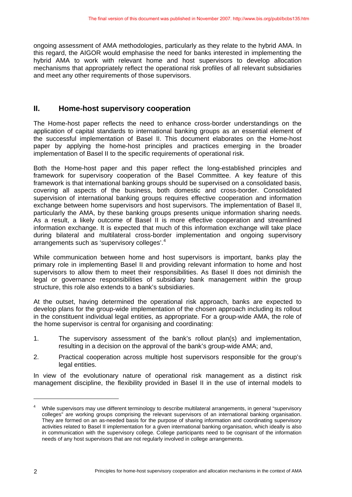<span id="page-5-0"></span>ongoing assessment of AMA methodologies, particularly as they relate to the hybrid AMA. In this regard, the AIGOR would emphasise the need for banks interested in implementing the hybrid AMA to work with relevant home and host supervisors to develop allocation mechanisms that appropriately reflect the operational risk profiles of all relevant subsidiaries and meet any other requirements of those supervisors.

#### **II. Home-host supervisory cooperation**

The Home-host paper reflects the need to enhance cross-border understandings on the application of capital standards to international banking groups as an essential element of the successful implementation of Basel II. This document elaborates on the Home-host paper by applying the home-host principles and practices emerging in the broader implementation of Basel II to the specific requirements of operational risk.

Both the Home-host paper and this paper reflect the long-established principles and framework for supervisory cooperation of the Basel Committee. A key feature of this framework is that international banking groups should be supervised on a consolidated basis, covering all aspects of the business, both domestic and cross-border. Consolidated supervision of international banking groups requires effective cooperation and information exchange between home supervisors and host supervisors. The implementation of Basel II, particularly the AMA, by these banking groups presents unique information sharing needs. As a result, a likely outcome of Basel II is more effective cooperation and streamlined information exchange. It is expected that much of this information exchange will take place during bilateral and multilateral cross-border implementation and ongoing supervisory arrangements such as 'supervisory colleges'.<sup>[4](#page-5-1)</sup>

While communication between home and host supervisors is important, banks play the primary role in implementing Basel II and providing relevant information to home and host supervisors to allow them to meet their responsibilities. As Basel II does not diminish the legal or governance responsibilities of subsidiary bank management within the group structure, this role also extends to a bank's subsidiaries.

At the outset, having determined the operational risk approach, banks are expected to develop plans for the group-wide implementation of the chosen approach including its rollout in the constituent individual legal entities, as appropriate. For a group-wide AMA, the role of the home supervisor is central for organising and coordinating:

- 1. The supervisory assessment of the bank's rollout plan(s) and implementation, resulting in a decision on the approval of the bank's group-wide AMA; and,
- 2. Practical cooperation across multiple host supervisors responsible for the group's legal entities.

In view of the evolutionary nature of operational risk management as a distinct risk management discipline, the flexibility provided in Basel II in the use of internal models to

<span id="page-5-1"></span><sup>4</sup> While supervisors may use different terminology to describe multilateral arrangements, in general "supervisory colleges" are working groups comprising the relevant supervisors of an international banking organisation. They are formed on an as-needed basis for the purpose of sharing information and coordinating supervisory activities related to Basel II implementation for a given international banking organisation, which ideally is also in communication with the supervisory college. College participants need to be cognisant of the information needs of any host supervisors that are not regularly involved in college arrangements.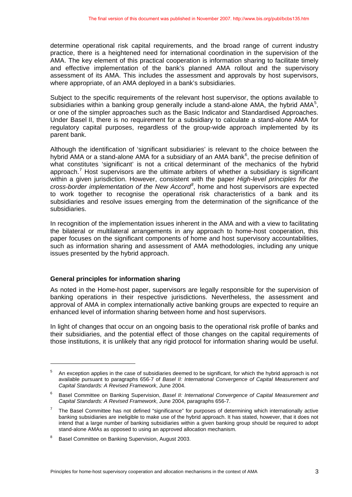<span id="page-6-0"></span>determine operational risk capital requirements, and the broad range of current industry practice, there is a heightened need for international coordination in the supervision of the AMA. The key element of this practical cooperation is information sharing to facilitate timely and effective implementation of the bank's planned AMA rollout and the supervisory assessment of its AMA. This includes the assessment and approvals by host supervisors, where appropriate, of an AMA deployed in a bank's subsidiaries.

Subject to the specific requirements of the relevant host supervisor, the options available to subsidiaries within a banking group generally include a stand-alone AMA, the hybrid AMA<sup>[5](#page-6-1)</sup>, or one of the simpler approaches such as the Basic Indicator and Standardised Approaches. Under Basel II, there is no requirement for a subsidiary to calculate a stand-alone AMA for regulatory capital purposes, regardless of the group-wide approach implemented by its parent bank.

Although the identification of 'significant subsidiaries' is relevant to the choice between the hybrid AMA or a stand-alone AMA for a subsidiary of an AMA bank $^6$  $^6$ , the precise definition of what constitutes 'significant' is not a critical determinant of the mechanics of the hybrid approach.<sup>[7](#page-6-3)</sup> Host supervisors are the ultimate arbiters of whether a subsidiary is significant within a given jurisdiction. However, consistent with the paper *High-level principles for the cross-border implementation of the New Accord[8](#page-6-4)* , home and host supervisors are expected to work together to recognise the operational risk characteristics of a bank and its subsidiaries and resolve issues emerging from the determination of the significance of the subsidiaries.

In recognition of the implementation issues inherent in the AMA and with a view to facilitating the bilateral or multilateral arrangements in any approach to home-host cooperation, this paper focuses on the significant components of home and host supervisory accountabilities, such as information sharing and assessment of AMA methodologies, including any unique issues presented by the hybrid approach.

#### **General principles for information sharing**

-

As noted in the Home-host paper, supervisors are legally responsible for the supervision of banking operations in their respective jurisdictions. Nevertheless, the assessment and approval of AMA in complex internationally active banking groups are expected to require an enhanced level of information sharing between home and host supervisors.

In light of changes that occur on an ongoing basis to the operational risk profile of banks and their subsidiaries, and the potential effect of those changes on the capital requirements of those institutions, it is unlikely that any rigid protocol for information sharing would be useful.

<span id="page-6-1"></span><sup>5</sup> An exception applies in the case of subsidiaries deemed to be significant, for which the hybrid approach is not available pursuant to paragraphs 656-7 of *Basel II: International Convergence of Capital Measurement and Capital Standards: A Revised Framework*, June 2004.

<span id="page-6-2"></span><sup>6</sup> Basel Committee on Banking Supervision, *Basel II: International Convergence of Capital Measurement and Capital Standards: A Revised Framework*, June 2004, paragraphs 656-7.

<span id="page-6-3"></span><sup>7</sup> The Basel Committee has not defined "significance" for purposes of determining which internationally active banking subsidiaries are ineligible to make use of the hybrid approach. It has stated, however, that it does not intend that a large number of banking subsidiaries within a given banking group should be required to adopt stand-alone AMAs as opposed to using an approved allocation mechanism.

<span id="page-6-4"></span><sup>8</sup> Basel Committee on Banking Supervision, August 2003.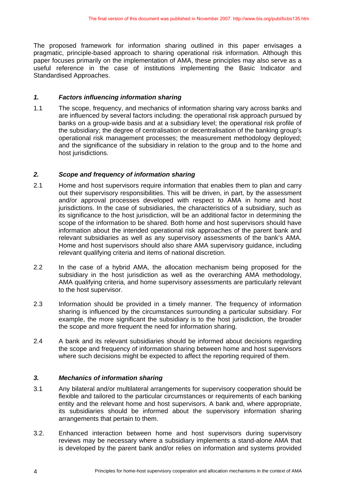The proposed framework for information sharing outlined in this paper envisages a pragmatic, principle-based approach to sharing operational risk information. Although this paper focuses primarily on the implementation of AMA, these principles may also serve as a useful reference in the case of institutions implementing the Basic Indicator and Standardised Approaches.

#### *1. Factors influencing information sharing*

1.1 The scope, frequency, and mechanics of information sharing vary across banks and are influenced by several factors including: the operational risk approach pursued by banks on a group-wide basis and at a subsidiary level; the operational risk profile of the subsidiary; the degree of centralisation or decentralisation of the banking group's operational risk management processes; the measurement methodology deployed; and the significance of the subsidiary in relation to the group and to the home and host jurisdictions.

#### *2. Scope and frequency of information sharing*

- 2.1 Home and host supervisors require information that enables them to plan and carry out their supervisory responsibilities. This will be driven, in part, by the assessment and/or approval processes developed with respect to AMA in home and host jurisdictions. In the case of subsidiaries, the characteristics of a subsidiary, such as its significance to the host jurisdiction, will be an additional factor in determining the scope of the information to be shared. Both home and host supervisors should have information about the intended operational risk approaches of the parent bank and relevant subsidiaries as well as any supervisory assessments of the bank's AMA. Home and host supervisors should also share AMA supervisory guidance, including relevant qualifying criteria and items of national discretion.
- 2.2 In the case of a hybrid AMA, the allocation mechanism being proposed for the subsidiary in the host jurisdiction as well as the overarching AMA methodology, AMA qualifying criteria, and home supervisory assessments are particularly relevant to the host supervisor.
- 2.3 Information should be provided in a timely manner. The frequency of information sharing is influenced by the circumstances surrounding a particular subsidiary. For example, the more significant the subsidiary is to the host jurisdiction, the broader the scope and more frequent the need for information sharing.
- 2.4 A bank and its relevant subsidiaries should be informed about decisions regarding the scope and frequency of information sharing between home and host supervisors where such decisions might be expected to affect the reporting required of them.

#### *3. Mechanics of information sharing*

- 3.1 Any bilateral and/or multilateral arrangements for supervisory cooperation should be flexible and tailored to the particular circumstances or requirements of each banking entity and the relevant home and host supervisors. A bank and, where appropriate, its subsidiaries should be informed about the supervisory information sharing arrangements that pertain to them.
- 3.2. Enhanced interaction between home and host supervisors during supervisory reviews may be necessary where a subsidiary implements a stand-alone AMA that is developed by the parent bank and/or relies on information and systems provided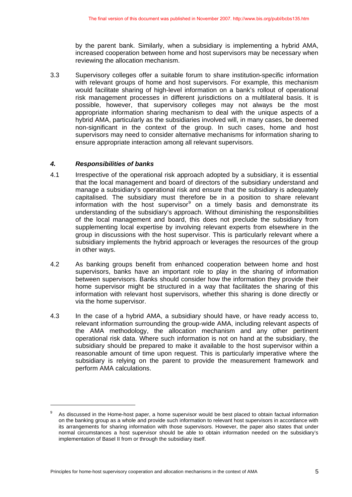by the parent bank. Similarly, when a subsidiary is implementing a hybrid AMA, increased cooperation between home and host supervisors may be necessary when reviewing the allocation mechanism.

3.3 Supervisory colleges offer a suitable forum to share institution-specific information with relevant groups of home and host supervisors. For example, this mechanism would facilitate sharing of high-level information on a bank's rollout of operational risk management processes in different jurisdictions on a multilateral basis. It is possible, however, that supervisory colleges may not always be the most appropriate information sharing mechanism to deal with the unique aspects of a hybrid AMA, particularly as the subsidiaries involved will, in many cases, be deemed non-significant in the context of the group. In such cases, home and host supervisors may need to consider alternative mechanisms for information sharing to ensure appropriate interaction among all relevant supervisors.

#### *4. Responsibilities of banks*

-

- 4.1 Irrespective of the operational risk approach adopted by a subsidiary, it is essential that the local management and board of directors of the subsidiary understand and manage a subsidiary's operational risk and ensure that the subsidiary is adequately capitalised. The subsidiary must therefore be in a position to share relevant information with the host supervisor $9$  on a timely basis and demonstrate its understanding of the subsidiary's approach. Without diminishing the responsibilities of the local management and board, this does not preclude the subsidiary from supplementing local expertise by involving relevant experts from elsewhere in the group in discussions with the host supervisor. This is particularly relevant where a subsidiary implements the hybrid approach or leverages the resources of the group in other ways.
- 4.2 As banking groups benefit from enhanced cooperation between home and host supervisors, banks have an important role to play in the sharing of information between supervisors. Banks should consider how the information they provide their home supervisor might be structured in a way that facilitates the sharing of this information with relevant host supervisors, whether this sharing is done directly or via the home supervisor.
- 4.3 In the case of a hybrid AMA, a subsidiary should have, or have ready access to, relevant information surrounding the group-wide AMA, including relevant aspects of the AMA methodology, the allocation mechanism and any other pertinent operational risk data. Where such information is not on hand at the subsidiary, the subsidiary should be prepared to make it available to the host supervisor within a reasonable amount of time upon request. This is particularly imperative where the subsidiary is relying on the parent to provide the measurement framework and perform AMA calculations.

<span id="page-8-0"></span><sup>9</sup> As discussed in the Home-host paper, a home supervisor would be best placed to obtain factual information on the banking group as a whole and provide such information to relevant host supervisors in accordance with its arrangements for sharing information with those supervisors. However, the paper also states that under normal circumstances a host supervisor should be able to obtain information needed on the subsidiary's implementation of Basel II from or through the subsidiary itself.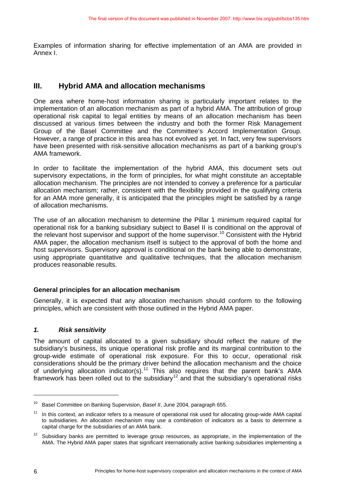<span id="page-9-0"></span>Examples of information sharing for effective implementation of an AMA are provided in Annex I.

#### **III. Hybrid AMA and allocation mechanisms**

One area where home-host information sharing is particularly important relates to the implementation of an allocation mechanism as part of a hybrid AMA. The attribution of group operational risk capital to legal entities by means of an allocation mechanism has been discussed at various times between the industry and both the former Risk Management Group of the Basel Committee and the Committee's Accord Implementation Group. However, a range of practice in this area has not evolved as yet. In fact, very few supervisors have been presented with risk-sensitive allocation mechanisms as part of a banking group's AMA framework.

In order to facilitate the implementation of the hybrid AMA, this document sets out supervisory expectations, in the form of principles, for what might constitute an acceptable allocation mechanism. The principles are not intended to convey a preference for a particular allocation mechanism; rather, consistent with the flexibility provided in the qualifying criteria for an AMA more generally, it is anticipated that the principles might be satisfied by a range of allocation mechanisms.

The use of an allocation mechanism to determine the Pillar 1 minimum required capital for operational risk for a banking subsidiary subject to Basel II is conditional on the approval of the relevant host supervisor and support of the home supervisor.<sup>[1](#page-9-1)0</sup> Consistent with the Hybrid AMA paper, the allocation mechanism itself is subject to the approval of both the home and host supervisors. Supervisory approval is conditional on the bank being able to demonstrate, using appropriate quantitative and qualitative techniques, that the allocation mechanism produces reasonable results.

#### **General principles for an allocation mechanism**

Generally, it is expected that any allocation mechanism should conform to the following principles, which are consistent with those outlined in the Hybrid AMA paper.

#### *1. Risk sensitivity*

The amount of capital allocated to a given subsidiary should reflect the nature of the subsidiary's business, its unique operational risk profile and its marginal contribution to the group-wide estimate of operational risk exposure. For this to occur, operational risk considerations should be the primary driver behind the allocation mechanism and the choice of underlying allocation indicator(s).<sup>[11](#page-9-2)</sup> This also requires that the parent bank's AMA framework has been rolled out to the subsidiary<sup>[1](#page-9-3)2</sup> and that the subsidiary's operational risks

<span id="page-9-1"></span><sup>10</sup> Basel Committee on Banking Supervision, *Basel II*, June 2004, paragraph 655.

<span id="page-9-2"></span>In this context, an indicator refers to a measure of operational risk used for allocating group-wide AMA capital to subsidiaries. An allocation mechanism may use a combination of indicators as a basis to determine a capital charge for the subsidiaries of an AMA bank.

<span id="page-9-3"></span> $12$  Subsidiary banks are permitted to leverage group resources, as appropriate, in the implementation of the AMA. The Hybrid AMA paper states that significant internationally active banking subsidiaries implementing a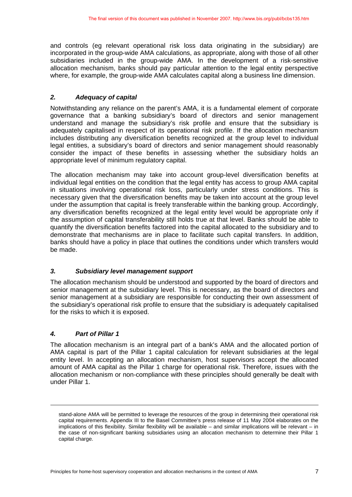and controls (eg relevant operational risk loss data originating in the subsidiary) are incorporated in the group-wide AMA calculations, as appropriate, along with those of all other subsidiaries included in the group-wide AMA. In the development of a risk-sensitive allocation mechanism, banks should pay particular attention to the legal entity perspective where, for example, the group-wide AMA calculates capital along a business line dimension.

#### *2. Adequacy of capital*

Notwithstanding any reliance on the parent's AMA, it is a fundamental element of corporate governance that a banking subsidiary's board of directors and senior management understand and manage the subsidiary's risk profile and ensure that the subsidiary is adequately capitalised in respect of its operational risk profile. If the allocation mechanism includes distributing any diversification benefits recognized at the group level to individual legal entities, a subsidiary's board of directors and senior management should reasonably consider the impact of these benefits in assessing whether the subsidiary holds an appropriate level of minimum regulatory capital.

The allocation mechanism may take into account group-level diversification benefits at individual legal entities on the condition that the legal entity has access to group AMA capital in situations involving operational risk loss, particularly under stress conditions. This is necessary given that the diversification benefits may be taken into account at the group level under the assumption that capital is freely transferable within the banking group. Accordingly, any diversification benefits recognized at the legal entity level would be appropriate only if the assumption of capital transferability still holds true at that level. Banks should be able to quantify the diversification benefits factored into the capital allocated to the subsidiary and to demonstrate that mechanisms are in place to facilitate such capital transfers. In addition, banks should have a policy in place that outlines the conditions under which transfers would be made.

#### *3. Subsidiary level management support*

The allocation mechanism should be understood and supported by the board of directors and senior management at the subsidiary level. This is necessary, as the board of directors and senior management at a subsidiary are responsible for conducting their own assessment of the subsidiary's operational risk profile to ensure that the subsidiary is adequately capitalised for the risks to which it is exposed.

#### *4. Part of Pillar 1*

-

The allocation mechanism is an integral part of a bank's AMA and the allocated portion of AMA capital is part of the Pillar 1 capital calculation for relevant subsidiaries at the legal entity level. In accepting an allocation mechanism, host supervisors accept the allocated amount of AMA capital as the Pillar 1 charge for operational risk. Therefore, issues with the allocation mechanism or non-compliance with these principles should generally be dealt with under Pillar 1.

stand-alone AMA will be permitted to leverage the resources of the group in determining their operational risk capital requirements. Appendix III to the Basel Committee's press release of 11 May 2004 elaborates on the implications of this flexibility. Similar flexibility will be available – and similar implications will be relevant – in the case of non-significant banking subsidiaries using an allocation mechanism to determine their Pillar 1 capital charge.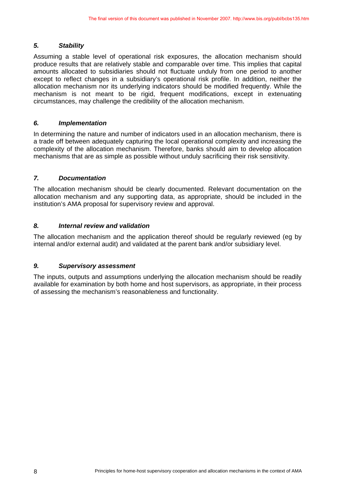#### *5. Stability*

Assuming a stable level of operational risk exposures, the allocation mechanism should produce results that are relatively stable and comparable over time. This implies that capital amounts allocated to subsidiaries should not fluctuate unduly from one period to another except to reflect changes in a subsidiary's operational risk profile. In addition, neither the allocation mechanism nor its underlying indicators should be modified frequently. While the mechanism is not meant to be rigid, frequent modifications, except in extenuating circumstances, may challenge the credibility of the allocation mechanism.

#### *6. Implementation*

In determining the nature and number of indicators used in an allocation mechanism, there is a trade off between adequately capturing the local operational complexity and increasing the complexity of the allocation mechanism. Therefore, banks should aim to develop allocation mechanisms that are as simple as possible without unduly sacrificing their risk sensitivity.

#### *7. Documentation*

The allocation mechanism should be clearly documented. Relevant documentation on the allocation mechanism and any supporting data, as appropriate, should be included in the institution's AMA proposal for supervisory review and approval.

#### *8. Internal review and validation*

The allocation mechanism and the application thereof should be regularly reviewed (eg by internal and/or external audit) and validated at the parent bank and/or subsidiary level.

#### *9. Supervisory assessment*

The inputs, outputs and assumptions underlying the allocation mechanism should be readily available for examination by both home and host supervisors, as appropriate, in their process of assessing the mechanism's reasonableness and functionality.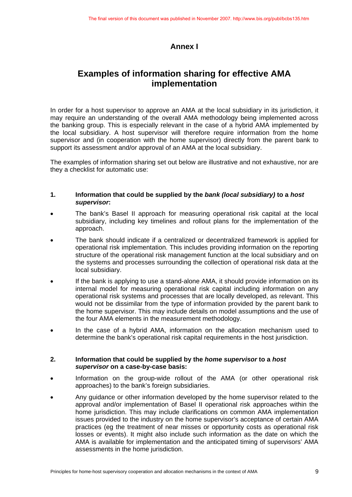## **Annex I**

## <span id="page-12-0"></span>**Examples of information sharing for effective AMA implementation**

In order for a host supervisor to approve an AMA at the local subsidiary in its jurisdiction, it may require an understanding of the overall AMA methodology being implemented across the banking group. This is especially relevant in the case of a hybrid AMA implemented by the local subsidiary. A host supervisor will therefore require information from the home supervisor and (in cooperation with the home supervisor) directly from the parent bank to support its assessment and/or approval of an AMA at the local subsidiary.

The examples of information sharing set out below are illustrative and not exhaustive, nor are they a checklist for automatic use:

#### **1. Information that could be supplied by the** *bank (local subsidiary)* **to a** *host supervisor***:**

- The bank's Basel II approach for measuring operational risk capital at the local subsidiary, including key timelines and rollout plans for the implementation of the approach.
- The bank should indicate if a centralized or decentralized framework is applied for operational risk implementation. This includes providing information on the reporting structure of the operational risk management function at the local subsidiary and on the systems and processes surrounding the collection of operational risk data at the local subsidiary.
- If the bank is applying to use a stand-alone AMA, it should provide information on its internal model for measuring operational risk capital including information on any operational risk systems and processes that are locally developed, as relevant. This would not be dissimilar from the type of information provided by the parent bank to the home supervisor. This may include details on model assumptions and the use of the four AMA elements in the measurement methodology.
- In the case of a hybrid AMA, information on the allocation mechanism used to determine the bank's operational risk capital requirements in the host jurisdiction.

#### **2. Information that could be supplied by the** *home supervisor* **to a** *host supervisor* **on a case-by-case basis:**

- Information on the group-wide rollout of the AMA (or other operational risk approaches) to the bank's foreign subsidiaries.
- Any guidance or other information developed by the home supervisor related to the approval and/or implementation of Basel II operational risk approaches within the home jurisdiction. This may include clarifications on common AMA implementation issues provided to the industry on the home supervisor's acceptance of certain AMA practices (eg the treatment of near misses or opportunity costs as operational risk losses or events). It might also include such information as the date on which the AMA is available for implementation and the anticipated timing of supervisors' AMA assessments in the home jurisdiction.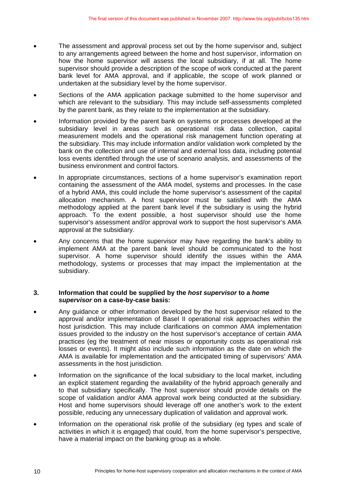- The assessment and approval process set out by the home supervisor and, subject to any arrangements agreed between the home and host supervisor, information on how the home supervisor will assess the local subsidiary, if at all. The home supervisor should provide a description of the scope of work conducted at the parent bank level for AMA approval, and if applicable, the scope of work planned or undertaken at the subsidiary level by the home supervisor.
- Sections of the AMA application package submitted to the home supervisor and which are relevant to the subsidiary. This may include self-assessments completed by the parent bank, as they relate to the implementation at the subsidiary.
- Information provided by the parent bank on systems or processes developed at the subsidiary level in areas such as operational risk data collection, capital measurement models and the operational risk management function operating at the subsidiary. This may include information and/or validation work completed by the bank on the collection and use of internal and external loss data, including potential loss events identified through the use of scenario analysis, and assessments of the business environment and control factors.
- In appropriate circumstances, sections of a home supervisor's examination report containing the assessment of the AMA model, systems and processes. In the case of a hybrid AMA, this could include the home supervisor's assessment of the capital allocation mechanism. A host supervisor must be satisfied with the AMA methodology applied at the parent bank level if the subsidiary is using the hybrid approach. To the extent possible, a host supervisor should use the home supervisor's assessment and/or approval work to support the host supervisor's AMA approval at the subsidiary.
- Any concerns that the home supervisor may have regarding the bank's ability to implement AMA at the parent bank level should be communicated to the host supervisor. A home supervisor should identify the issues within the AMA methodology, systems or processes that may impact the implementation at the subsidiary.

#### **3. Information that could be supplied by the** *host supervisor* **to a** *home supervisor* **on a case-by-case basis:**

- Any guidance or other information developed by the host supervisor related to the approval and/or implementation of Basel II operational risk approaches within the host jurisdiction. This may include clarifications on common AMA implementation issues provided to the industry on the host supervisor's acceptance of certain AMA practices (eg the treatment of near misses or opportunity costs as operational risk losses or events). It might also include such information as the date on which the AMA is available for implementation and the anticipated timing of supervisors' AMA assessments in the host jurisdiction.
- Information on the significance of the local subsidiary to the local market, including an explicit statement regarding the availability of the hybrid approach generally and to that subsidiary specifically. The host supervisor should provide details on the scope of validation and/or AMA approval work being conducted at the subsidiary. Host and home supervisors should leverage off one another's work to the extent possible, reducing any unnecessary duplication of validation and approval work.
- Information on the operational risk profile of the subsidiary (eg types and scale of activities in which it is engaged) that could, from the home supervisor's perspective, have a material impact on the banking group as a whole.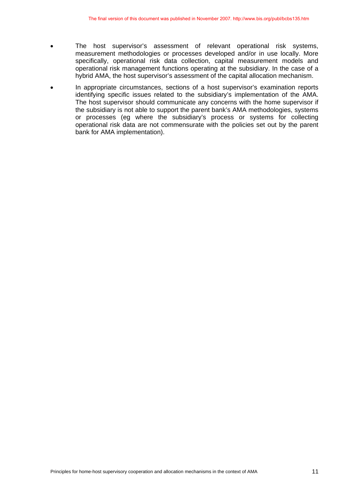- The host supervisor's assessment of relevant operational risk systems, measurement methodologies or processes developed and/or in use locally. More specifically, operational risk data collection, capital measurement models and operational risk management functions operating at the subsidiary. In the case of a hybrid AMA, the host supervisor's assessment of the capital allocation mechanism.
- In appropriate circumstances, sections of a host supervisor's examination reports identifying specific issues related to the subsidiary's implementation of the AMA. The host supervisor should communicate any concerns with the home supervisor if the subsidiary is not able to support the parent bank's AMA methodologies, systems or processes (eg where the subsidiary's process or systems for collecting operational risk data are not commensurate with the policies set out by the parent bank for AMA implementation).